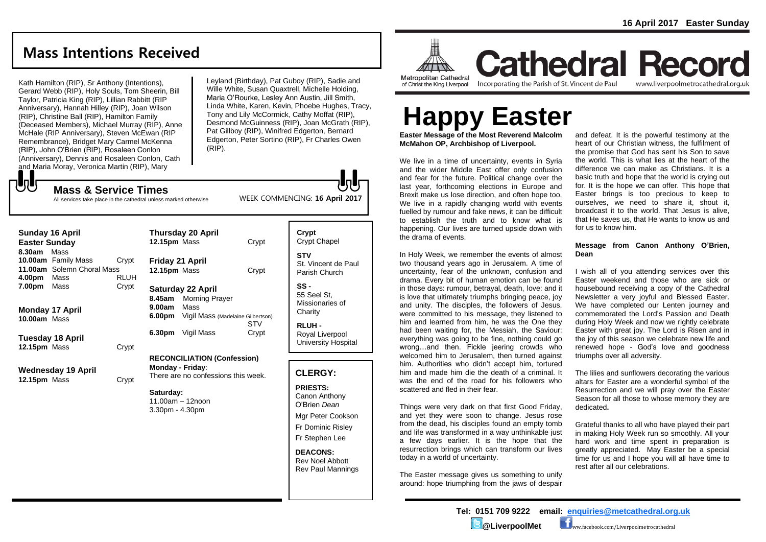## **Mass Intentions Received**

Kath Hamilton (RIP), Sr Anthony (Intentions), Gerard Webb (RIP), Holy Souls, Tom Sheerin, Bill Taylor, Patricia King (RIP), Lillian Rabbitt (RIP Anniversary), Hannah Hilley (RIP), Joan Wilson (RIP), Christine Ball (RIP), Hamilton Family (Deceased Members), Michael Murray (RIP), Anne McHale (RIP Anniversary), Steven McEwan (RIP Remembrance), Bridget Mary Carmel McKenna (RIP), John O'Brien (RIP), Rosaleen Conlon (Anniversary), Dennis and Rosaleen Conlon, Cath and Maria Moray, Veronica Martin (RIP), Mary

**Mass & Service Times**

**しし** 

Leyland (Birthday), Pat Guboy (RIP), Sadie and Wille White, Susan Quaxtrell, Michelle Holding, Maria O'Rourke, Lesley Ann Austin, Jill Smith, Linda White, Karen, Kevin, Phoebe Hughes, Tracy, Tony and Lily McCormick, Cathy Moffat (RIP), Desmond McGuinness (RIP), Joan McGrath (RIP), Pat Gillboy (RIP), Winifred Edgerton, Bernard Edgerton, Peter Sortino (RIP), Fr Charles Owen (RIP).

WEEK COMMENCING: **16 April 2017**

All services take place in the cathedral unless marked otherwise

| Sunday 16 April<br><b>Easter Sunday</b>                                                                       | <b>Thursday 20 April</b><br>12.15pm Mass                                                | Crypt               | Crypt<br>Crypt Chapel                                                                                        |
|---------------------------------------------------------------------------------------------------------------|-----------------------------------------------------------------------------------------|---------------------|--------------------------------------------------------------------------------------------------------------|
| Mass<br>8.30am<br>10.00am Family Mass<br>Crypt<br>11.00am Solemn Choral Mass<br>Mass<br><b>RLUH</b><br>4.00pm | Friday 21 April<br>12.15pm Mass                                                         | Crypt               | <b>STV</b><br>St. Vincent de Paul<br>Parish Church                                                           |
| 7.00pm<br>Mass<br>Crypt<br>Monday 17 April                                                                    | <b>Saturday 22 April</b><br>8.45am<br><b>Morning Prayer</b><br>Mass<br>9.00am<br>6.00pm |                     | $SS -$<br>55 Seel St.<br>Missionaries of<br>Charity                                                          |
| 10.00am Mass<br>Tuesday 18 April<br>12.15pm Mass<br>Crypt                                                     | Vigil Mass (Madelaine Gilbertson)<br>6.30pm<br>Vigil Mass                               | <b>STV</b><br>Crypt | <b>RLUH-</b><br>Royal Liverpool<br>University Hospital                                                       |
|                                                                                                               | <b>RECONCILIATION (Confession)</b>                                                      |                     |                                                                                                              |
| Wednesday 19 April<br>12.15pm Mass<br>Crypt                                                                   | Monday - Friday:<br>There are no confessions this week.                                 |                     | <b>CLERGY:</b>                                                                                               |
|                                                                                                               | Saturday:<br>$11.00am - 12noon$<br>$3.30pm - 4.30pm$                                    |                     | <b>PRIESTS:</b><br>Canon Anthony<br>O'Brien Dean<br>Mgr Peter Cookson<br>Fr Dominic Risley<br>Fr Stephen Lee |
|                                                                                                               |                                                                                         |                     | <b>DEACONS:</b><br><b>Rev Noel Abbott</b><br><b>Rev Paul Mannings</b>                                        |

H **ATTINA Metropolitan Cathedral** of Christ the King Liverpool

Incorporating the Parish of St. Vincent de Paul

**Cathedral Record** www.liverpoolmetrocathedral.org.uk

# **Happy Easter**

**Easter Message of the Most Reverend Malcolm McMahon OP, Archbishop of Liverpool.** 

We live in a time of uncertainty, events in Syria and the wider Middle East offer only confusion and fear for the future. Political change over the last year, forthcoming elections in Europe and Brexit make us lose direction, and often hope too. We live in a rapidly changing world with events fuelled by rumour and fake news, it can be difficult to establish the truth and to know what is happening. Our lives are turned upside down with the drama of events.

In Holy Week, we remember the events of almost two thousand years ago in Jerusalem. A time of uncertainty, fear of the unknown, confusion and drama. Every bit of human emotion can be found in those days: rumour, betrayal, death, love: and it is love that ultimately triumphs bringing peace, joy and unity. The disciples, the followers of Jesus, were committed to his message, they listened to him and learned from him, he was the One they had been waiting for, the Messiah, the Saviour: everything was going to be fine, nothing could go wrong…and then. Fickle jeering crowds who welcomed him to Jerusalem, then turned against him. Authorities who didn't accept him, tortured him and made him die the death of a criminal. It was the end of the road for his followers who scattered and fled in their fear.

Things were very dark on that first Good Friday, and yet they were soon to change. Jesus rose from the dead, his disciples found an empty tomb and life was transformed in a way unthinkable just a few days earlier. It is the hope that the resurrection brings which can transform our lives today in a world of uncertainty.

The Easter message gives us something to unify around: hope triumphing from the jaws of despair and defeat. It is the powerful testimony at the heart of our Christian witness, the fulfilment of the promise that God has sent his Son to save the world. This is what lies at the heart of the difference we can make as Christians. It is a basic truth and hope that the world is crying out for. It is the hope we can offer. This hope that Easter brings is too precious to keep to ourselves, we need to share it, shout it, broadcast it to the world. That Jesus is alive, that He saves us, that He wants to know us and for us to know him.

#### **Message from Canon Anthony O'Brien, Dean**

I wish all of you attending services over this Easter weekend and those who are sick or housebound receiving a copy of the Cathedral Newsletter a very joyful and Blessed Easter. We have completed our Lenten journey and commemorated the Lord's Passion and Death during Holy Week and now we rightly celebrate Easter with great joy. The Lord is Risen and in the joy of this season we celebrate new life and renewed hope - God's love and goodness triumphs over all adversity.

The lilies and sunflowers decorating the various altars for Easter are a wonderful symbol of the Resurrection and we will pray over the Easter Season for all those to whose memory they are dedicated**.** 

Grateful thanks to all who have played their part in making Holy Week run so smoothly. All your hard work and time spent in preparation is greatly appreciated. May Easter be a special time for us and I hope you will all have time to rest after all our celebrations.